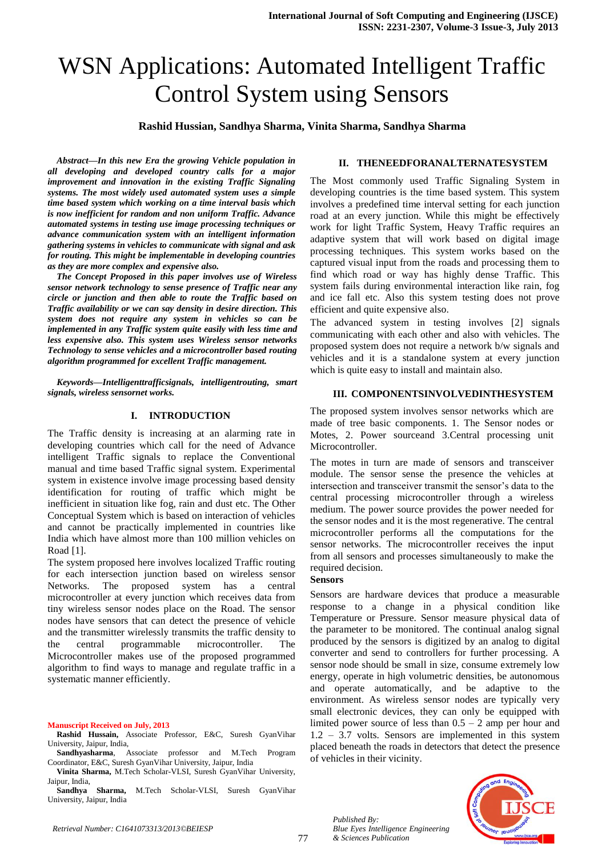# WSN Applications: Automated Intelligent Traffic Control System using Sensors

### **Rashid Hussian, Sandhya Sharma, Vinita Sharma, Sandhya Sharma**

*Abstract—In this new Era the growing Vehicle population in all developing and developed country calls for a major improvement and innovation in the existing Traffic Signaling systems. The most widely used automated system uses a simple time based system which working on a time interval basis which is now inefficient for random and non uniform Traffic. Advance automated systems in testing use image processing techniques or advance communication system with an intelligent information gathering systems in vehicles to communicate with signal and ask for routing. This might be implementable in developing countries as they are more complex and expensive also.*

*The Concept Proposed in this paper involves use of Wireless sensor network technology to sense presence of Traffic near any circle or junction and then able to route the Traffic based on Traffic availability or we can say density in desire direction. This system does not require any system in vehicles so can be implemented in any Traffic system quite easily with less time and less expensive also. This system uses Wireless sensor networks Technology to sense vehicles and a microcontroller based routing algorithm programmed for excellent Traffic management.*

*Keywords—Intelligenttrafficsignals, intelligentrouting, smart signals, wireless sensornet works.*

## **I. INTRODUCTION**

The Traffic density is increasing at an alarming rate in developing countries which call for the need of Advance intelligent Traffic signals to replace the Conventional manual and time based Traffic signal system. Experimental system in existence involve image processing based density identification for routing of traffic which might be inefficient in situation like fog, rain and dust etc. The Other Conceptual System which is based on interaction of vehicles and cannot be practically implemented in countries like India which have almost more than 100 million vehicles on Road [1].

The system proposed here involves localized Traffic routing for each intersection junction based on wireless sensor Networks. The proposed system has a central microcontroller at every junction which receives data from tiny wireless sensor nodes place on the Road. The sensor nodes have sensors that can detect the presence of vehicle and the transmitter wirelessly transmits the traffic density to the central programmable microcontroller. The Microcontroller makes use of the proposed programmed algorithm to find ways to manage and regulate traffic in a systematic manner efficiently.

#### **Manuscript Received on July, 2013**

**Rashid Hussain,** Associate Professor, E&C, Suresh GyanVihar University, Jaipur, India,

**Sandhyasharma**, Associate professor and M.Tech Program Coordinator, E&C, Suresh GyanVihar University, Jaipur, India

**Vinita Sharma,** M.Tech Scholar-VLSI, Suresh GyanVihar University, Jaipur, India,

**Sandhya Sharma,** M.Tech Scholar-VLSI, Suresh GyanVihar University, Jaipur, India

## **II. THENEEDFORANALTERNATESYSTEM**

The Most commonly used Traffic Signaling System in developing countries is the time based system. This system involves a predefined time interval setting for each junction road at an every junction. While this might be effectively work for light Traffic System, Heavy Traffic requires an adaptive system that will work based on digital image processing techniques. This system works based on the captured visual input from the roads and processing them to find which road or way has highly dense Traffic. This system fails during environmental interaction like rain, fog and ice fall etc. Also this system testing does not prove efficient and quite expensive also.

The advanced system in testing involves [2] signals communicating with each other and also with vehicles. The proposed system does not require a network b/w signals and vehicles and it is a standalone system at every junction which is quite easy to install and maintain also.

## **III. COMPONENTSINVOLVEDINTHESYSTEM**

The proposed system involves sensor networks which are made of tree basic components. 1. The Sensor nodes or Motes, 2. Power sourceand 3.Central processing unit Microcontroller.

The motes in turn are made of sensors and transceiver module. The sensor sense the presence the vehicles at intersection and transceiver transmit the sensor's data to the central processing microcontroller through a wireless medium. The power source provides the power needed for the sensor nodes and it is the most regenerative. The central microcontroller performs all the computations for the sensor networks. The microcontroller receives the input from all sensors and processes simultaneously to make the required decision.

#### **Sensors**

Sensors are hardware devices that produce a measurable response to a change in a physical condition like Temperature or Pressure. Sensor measure physical data of the parameter to be monitored. The continual analog signal produced by the sensors is digitized by an analog to digital converter and send to controllers for further processing. A sensor node should be small in size, consume extremely low energy, operate in high volumetric densities, be autonomous and operate automatically, and be adaptive to the environment. As wireless sensor nodes are typically very small electronic devices, they can only be equipped with limited power source of less than  $0.5 - 2$  amp per hour and 1.2 – 3.7 volts. Sensors are implemented in this system placed beneath the roads in detectors that detect the presence of vehicles in their vicinity.



*Published By:*

*& Sciences Publication* 

*Blue Eyes Intelligence Engineering*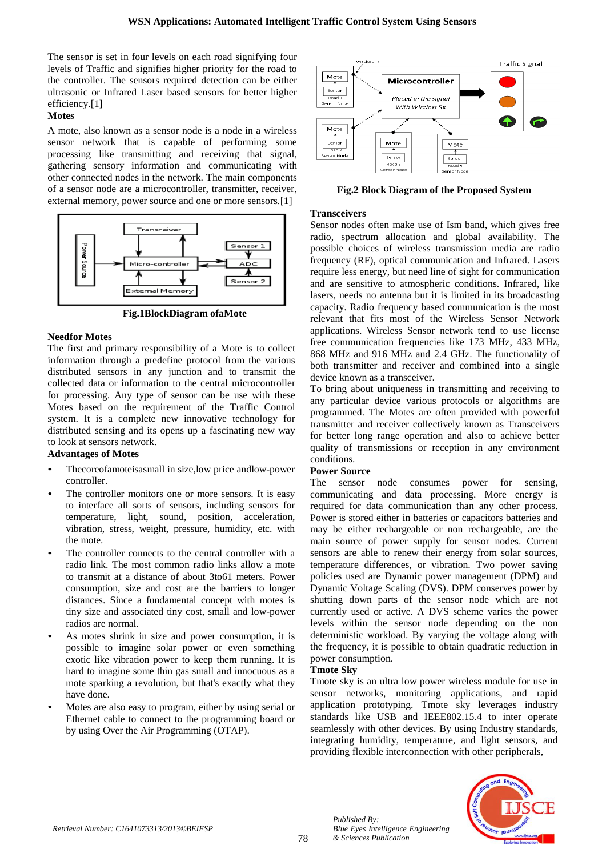The sensor is set in four levels on each road signifying four levels of Traffic and signifies higher priority for the road to the controller. The sensors required detection can be either ultrasonic or Infrared Laser based sensors for better higher efficiency.[1]

## **Motes**

A mote, also known as a sensor node is a node in a wireless sensor network that is capable of performing some processing like transmitting and receiving that signal, gathering sensory information and communicating with other connected nodes in the network. The main components of a sensor node are a microcontroller, transmitter, receiver, external memory, power source and one or more sensors.[1]



**Fig.1BlockDiagram ofaMote**

# **Needfor Motes**

The first and primary responsibility of a Mote is to collect information through a predefine protocol from the various distributed sensors in any junction and to transmit the collected data or information to the central microcontroller for processing. Any type of sensor can be use with these Motes based on the requirement of the Traffic Control system. It is a complete new innovative technology for distributed sensing and its opens up a fascinating new way to look at sensors network.

# **Advantages of Motes**

- Thecoreofamoteisasmall in size,low price andlow-power controller.
- The controller monitors one or more sensors. It is easy to interface all sorts of sensors, including sensors for temperature, light, sound, position, acceleration, vibration, stress, weight, pressure, humidity, etc. with the mote.
- The controller connects to the central controller with a radio link. The most common radio links allow a mote to transmit at a distance of about 3to61 meters. Power consumption, size and cost are the barriers to longer distances. Since a fundamental concept with motes is tiny size and associated tiny cost, small and low-power radios are normal.
- As motes shrink in size and power consumption, it is possible to imagine solar power or even something exotic like vibration power to keep them running. It is hard to imagine some thin gas small and innocuous as a mote sparking a revolution, but that's exactly what they have done.
- Motes are also easy to program, either by using serial or Ethernet cable to connect to the programming board or by using Over the Air Programming (OTAP).



**Fig.2 Block Diagram of the Proposed System**

# **Transceivers**

Sensor nodes often make use of Ism band, which gives free radio, spectrum allocation and global availability. The possible choices of wireless transmission media are radio frequency (RF), optical communication and Infrared. Lasers require less energy, but need line of sight for communication and are sensitive to atmospheric conditions. Infrared, like lasers, needs no antenna but it is limited in its broadcasting capacity. Radio frequency based communication is the most relevant that fits most of the Wireless Sensor Network applications. Wireless Sensor network tend to use license free communication frequencies like 173 MHz, 433 MHz, 868 MHz and 916 MHz and 2.4 GHz. The functionality of both transmitter and receiver and combined into a single device known as a transceiver.

To bring about uniqueness in transmitting and receiving to any particular device various protocols or algorithms are programmed. The Motes are often provided with powerful transmitter and receiver collectively known as Transceivers for better long range operation and also to achieve better quality of transmissions or reception in any environment conditions.

# **Power Source**

The sensor node consumes power for sensing, communicating and data processing. More energy is required for data communication than any other process. Power is stored either in batteries or capacitors batteries and may be either rechargeable or non rechargeable, are the main source of power supply for sensor nodes. Current sensors are able to renew their energy from solar sources, temperature differences, or vibration. Two power saving policies used are Dynamic power management (DPM) and Dynamic Voltage Scaling (DVS). DPM conserves power by shutting down parts of the sensor node which are not currently used or active. A DVS scheme varies the power levels within the sensor node depending on the non deterministic workload. By varying the voltage along with the frequency, it is possible to obtain quadratic reduction in power consumption.

# **Tmote Sky**

*Published By:*

*& Sciences Publication* 

*Blue Eyes Intelligence Engineering* 

Tmote sky is an ultra low power wireless module for use in sensor networks, monitoring applications, and rapid application prototyping. Tmote sky leverages industry standards like USB and IEEE802.15.4 to inter operate seamlessly with other devices. By using Industry standards, integrating humidity, temperature, and light sensors, and providing flexible interconnection with other peripherals,

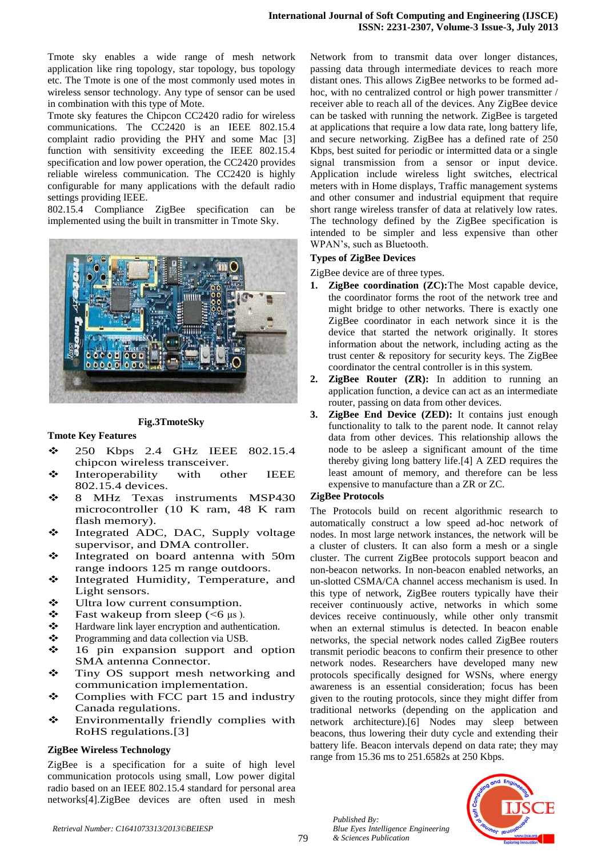Tmote sky enables a wide range of mesh network application like ring topology, star topology, bus topology etc. The Tmote is one of the most commonly used motes in wireless sensor technology. Any type of sensor can be used in combination with this type of Mote.

Tmote sky features the Chipcon CC2420 radio for wireless communications. The CC2420 is an IEEE 802.15.4 complaint radio providing the PHY and some Mac [3] function with sensitivity exceeding the IEEE 802.15.4 specification and low power operation, the CC2420 provides reliable wireless communication. The CC2420 is highly configurable for many applications with the default radio settings providing IEEE.

802.15.4 Compliance ZigBee specification can be implemented using the built in transmitter in Tmote Sky.



#### **Fig.3TmoteSky**

### **Tmote Key Features**

- 250 Kbps 2.4 GHz IEEE 802.15.4 chipcon wireless transceiver.
- Interoperability with other IEEE 802.15.4 devices.
- 8 MHz Texas instruments MSP430 microcontroller (10 K ram, 48 K ram flash memory).
- **❖** Integrated ADC, DAC, Supply voltage supervisor, and DMA controller.
- Integrated on board antenna with 50m range indoors 125 m range outdoors.
- \* Integrated Humidity, Temperature, and Light sensors.
- ❖ Ultra low current consumption.
- $\cdot \cdot$  Fast wakeup from sleep (<6 μs).
- \* Hardware link layer encryption and authentication.
- $\bullet$  Programming and data collection via USB.
- 16 pin expansion support and option SMA antenna Connector.
- **❖** Tiny OS support mesh networking and communication implementation.
- $\div$  Complies with FCC part 15 and industry Canada regulations.
- Environmentally friendly complies with RoHS regulations.[3]

### **ZigBee Wireless Technology**

ZigBee is a specification for a suite of high level communication protocols using small, Low power digital radio based on an IEEE 802.15.4 standard for personal area networks[4].ZigBee devices are often used in mesh Network from to transmit data over longer distances, passing data through intermediate devices to reach more distant ones. This allows ZigBee networks to be formed adhoc, with no centralized control or high power transmitter / receiver able to reach all of the devices. Any ZigBee device can be tasked with running the network. ZigBee is targeted at applications that require a low data rate, long battery life, and secure networking. ZigBee has a defined rate of 250 Kbps, best suited for periodic or intermitted data or a single signal transmission from a sensor or input device. Application include wireless light switches, electrical meters with in Home displays, Traffic management systems and other consumer and industrial equipment that require short range wireless transfer of data at relatively low rates. The technology defined by the ZigBee specification is intended to be simpler and less expensive than other WPAN's, such as Bluetooth.

## **Types of ZigBee Devices**

ZigBee device are of three types.

- **1. ZigBee coordination (ZC):**The Most capable device, the coordinator forms the root of the network tree and might bridge to other networks. There is exactly one ZigBee coordinator in each network since it is the device that started the network originally. It stores information about the network, including acting as the trust center & repository for security keys. The ZigBee coordinator the central controller is in this system.
- **2. ZigBee Router (ZR):** In addition to running an application function, a device can act as an intermediate router, passing on data from other devices.
- **3. ZigBee End Device (ZED):** It contains just enough functionality to talk to the parent node. It cannot relay data from other devices. This relationship allows the node to be asleep a significant amount of the time thereby giving long battery life.[4] A ZED requires the least amount of memory, and therefore can be less expensive to manufacture than a ZR or ZC.

### **ZigBee Protocols**

The Protocols build on recent algorithmic research to automatically construct a low speed ad-hoc network of nodes. In most large network instances, the network will be a cluster of clusters. It can also form a mesh or a single cluster. The current ZigBee protocols support beacon and non-beacon networks. In non-beacon enabled networks, an un-slotted CSMA/CA channel access mechanism is used. In this type of network, ZigBee routers typically have their receiver continuously active, networks in which some devices receive continuously, while other only transmit when an external stimulus is detected. In beacon enable networks, the special network nodes called ZigBee routers transmit periodic beacons to confirm their presence to other network nodes. Researchers have developed many new protocols specifically designed for WSNs, where energy awareness is an essential consideration; focus has been given to the routing protocols, since they might differ from traditional networks (depending on the application and network architecture).[6] Nodes may sleep between beacons, thus lowering their duty cycle and extending their battery life. Beacon intervals depend on data rate; they may range from 15.36 ms to 251.6582s at 250 Kbps.



*Published By:*

*& Sciences Publication* 

*Blue Eyes Intelligence Engineering*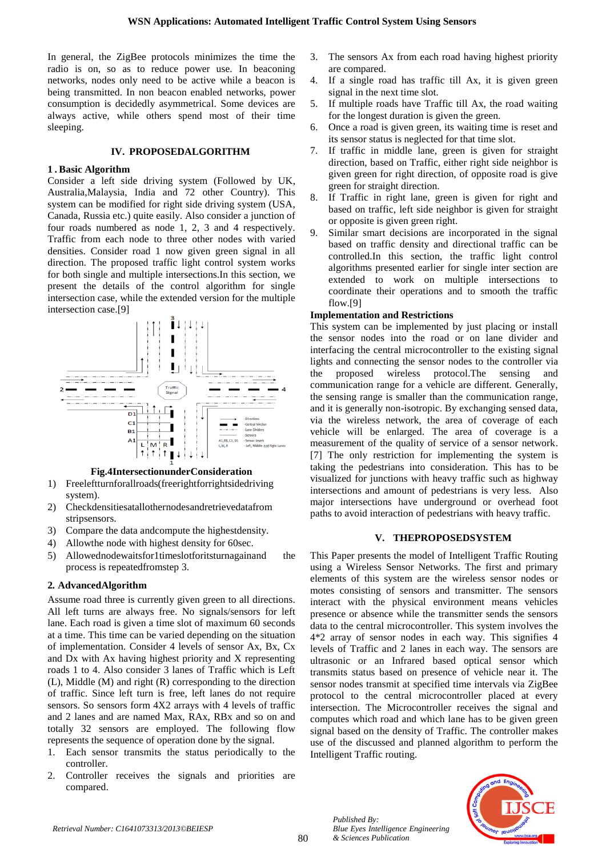In general, the ZigBee protocols minimizes the time the radio is on, so as to reduce power use. In beaconing networks, nodes only need to be active while a beacon is being transmitted. In non beacon enabled networks, power consumption is decidedly asymmetrical. Some devices are always active, while others spend most of their time sleeping.

## **IV. PROPOSEDALGORITHM**

## **1 . Basic Algorithm**

Consider a left side driving system (Followed by UK, Australia,Malaysia, India and 72 other Country). This system can be modified for right side driving system (USA, Canada, Russia etc.) quite easily. Also consider a junction of four roads numbered as node 1, 2, 3 and 4 respectively. Traffic from each node to three other nodes with varied densities. Consider road 1 now given green signal in all direction. The proposed traffic light control system works for both single and multiple intersections.In this section, we present the details of the control algorithm for single intersection case, while the extended version for the multiple intersection case.[9]



**Fig.4IntersectionunderConsideration**

- 1) Freeleftturnforallroads(freerightforrightsidedriving system).
- 2) Checkdensitiesatallothernodesandretrievedatafrom stripsensors.
- 3) Compare the data andcompute the highestdensity.
- 4) Allowthe node with highest density for 60sec.
- 5) Allowednodewaitsfor1timeslotforitsturnagainand the process is repeatedfromstep 3.

# **2***.* **AdvancedAlgorithm**

Assume road three is currently given green to all directions. All left turns are always free. No signals/sensors for left lane. Each road is given a time slot of maximum 60 seconds at a time. This time can be varied depending on the situation of implementation. Consider 4 levels of sensor Ax, Bx, Cx and Dx with Ax having highest priority and X representing roads 1 to 4. Also consider 3 lanes of Traffic which is Left (L), Middle (M) and right (R) corresponding to the direction of traffic. Since left turn is free, left lanes do not require sensors. So sensors form 4X2 arrays with 4 levels of traffic and 2 lanes and are named Max, RAx, RBx and so on and totally 32 sensors are employed. The following flow represents the sequence of operation done by the signal.

- 1. Each sensor transmits the status periodically to the controller.
- 2. Controller receives the signals and priorities are compared.
- The sensors Ax from each road having highest priority are compared.
- 4. If a single road has traffic till Ax, it is given green signal in the next time slot.
- 5. If multiple roads have Traffic till Ax, the road waiting for the longest duration is given the green.
- 6. Once a road is given green, its waiting time is reset and its sensor status is neglected for that time slot.
- 7. If traffic in middle lane, green is given for straight direction, based on Traffic, either right side neighbor is given green for right direction, of opposite road is give green for straight direction.
- If Traffic in right lane, green is given for right and based on traffic, left side neighbor is given for straight or opposite is given green right.
- 9. Similar smart decisions are incorporated in the signal based on traffic density and directional traffic can be controlled.In this section, the traffic light control algorithms presented earlier for single inter section are extended to work on multiple intersections to coordinate their operations and to smooth the traffic flow.[9]

# **Implementation and Restrictions**

This system can be implemented by just placing or install the sensor nodes into the road or on lane divider and interfacing the central microcontroller to the existing signal lights and connecting the sensor nodes to the controller via the proposed wireless protocol.The sensing and communication range for a vehicle are different. Generally, the sensing range is smaller than the communication range, and it is generally non-isotropic. By exchanging sensed data, via the wireless network, the area of coverage of each vehicle will be enlarged. The area of coverage is a measurement of the quality of service of a sensor network. [7] The only restriction for implementing the system is taking the pedestrians into consideration. This has to be visualized for junctions with heavy traffic such as highway intersections and amount of pedestrians is very less. Also major intersections have underground or overhead foot paths to avoid interaction of pedestrians with heavy traffic.

## **V. THEPROPOSEDSYSTEM**

This Paper presents the model of Intelligent Traffic Routing using a Wireless Sensor Networks. The first and primary elements of this system are the wireless sensor nodes or motes consisting of sensors and transmitter. The sensors interact with the physical environment means vehicles presence or absence while the transmitter sends the sensors data to the central microcontroller. This system involves the 4\*2 array of sensor nodes in each way. This signifies 4 levels of Traffic and 2 lanes in each way. The sensors are ultrasonic or an Infrared based optical sensor which transmits status based on presence of vehicle near it. The sensor nodes transmit at specified time intervals via ZigBee protocol to the central microcontroller placed at every intersection. The Microcontroller receives the signal and computes which road and which lane has to be given green signal based on the density of Traffic. The controller makes use of the discussed and planned algorithm to perform the Intelligent Traffic routing.



*Published By:*

*& Sciences Publication* 

*Blue Eyes Intelligence Engineering*